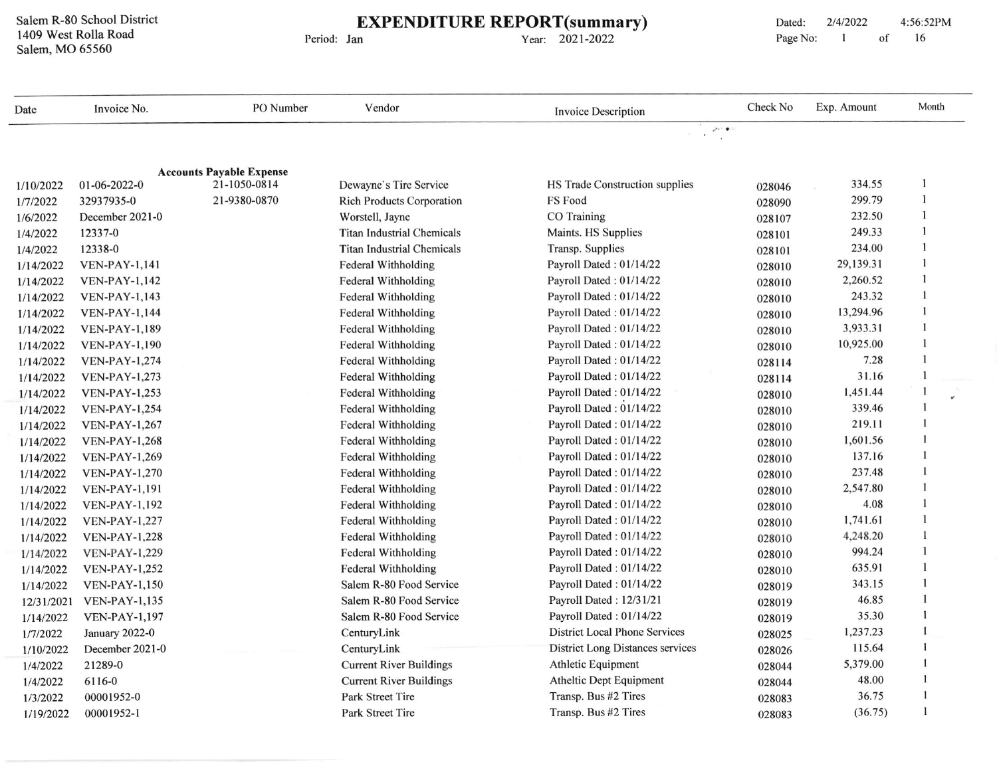Salem R-80 School District 1409 west Rolla Road Salem, MO 65560

## EXPENDITURE REPORT(summary)

Period: Jan

Year: 2021-2022

| Date       | Invoice No.           | PO Number                       | Vendor                            | <b>Invoice Description</b>              | Check No | Exp. Amount | Month        |
|------------|-----------------------|---------------------------------|-----------------------------------|-----------------------------------------|----------|-------------|--------------|
|            |                       |                                 |                                   | $\mathcal{S}_{\mathcal{F}}$ , $\Phi$ :  |          |             |              |
|            |                       |                                 |                                   |                                         |          |             |              |
|            |                       | <b>Accounts Payable Expense</b> |                                   |                                         |          |             |              |
| 1/10/2022  | $01-06-2022-0$        | 21-1050-0814                    | Dewayne's Tire Service            | HS Trade Construction supplies          | 028046   | 334.55      |              |
| 1/7/2022   | 32937935-0            | 21-9380-0870                    | <b>Rich Products Corporation</b>  | FS Food                                 | 028090   | 299.79      |              |
| 1/6/2022   | December 2021-0       |                                 | Worstell, Jayne                   | CO Training                             | 028107   | 232.50      |              |
| 1/4/2022   | 12337-0               |                                 | <b>Titan Industrial Chemicals</b> | Maints. HS Supplies                     | 028101   | 249.33      |              |
| 1/4/2022   | 12338-0               |                                 | <b>Titan Industrial Chemicals</b> | Transp. Supplies                        | 028101   | 234.00      |              |
| 1/14/2022  | <b>VEN-PAY-1,141</b>  |                                 | Federal Withholding               | Payroll Dated: 01/14/22                 | 028010   | 29,139.31   |              |
| 1/14/2022  | <b>VEN-PAY-1,142</b>  |                                 | Federal Withholding               | Payroll Dated: 01/14/22                 | 028010   | 2,260.52    |              |
| 1/14/2022  | <b>VEN-PAY-1,143</b>  |                                 | Federal Withholding               | Payroll Dated: 01/14/22                 | 028010   | 243.32      |              |
| 1/14/2022  | <b>VEN-PAY-1,144</b>  |                                 | Federal Withholding               | Payroll Dated: 01/14/22                 | 028010   | 13,294.96   |              |
| 1/14/2022  | <b>VEN-PAY-1,189</b>  |                                 | Federal Withholding               | Payroll Dated: 01/14/22                 | 028010   | 3,933.31    |              |
| 1/14/2022  | <b>VEN-PAY-1,190</b>  |                                 | <b>Federal Withholding</b>        | Payroll Dated: 01/14/22                 | 028010   | 10,925.00   | 1            |
| 1/14/2022  | <b>VEN-PAY-1,274</b>  |                                 | Federal Withholding               | Payroll Dated: 01/14/22                 | 028114   | 7.28        |              |
| 1/14/2022  | <b>VEN-PAY-1,273</b>  |                                 | <b>Federal Withholding</b>        | Payroll Dated: 01/14/22                 | 028114   | 31.16       |              |
| 1/14/2022  | <b>VEN-PAY-1,253</b>  |                                 | <b>Federal Withholding</b>        | Payroll Dated: 01/14/22                 | 028010   | 1,451.44    |              |
| 1/14/2022  | <b>VEN-PAY-1,254</b>  |                                 | Federal Withholding               | Payroll Dated: 01/14/22                 | 028010   | 339.46      |              |
| 1/14/2022  | <b>VEN-PAY-1,267</b>  |                                 | Federal Withholding               | Payroll Dated: 01/14/22                 | 028010   | 219.11      | $\mathbf{1}$ |
| 1/14/2022  | <b>VEN-PAY-1,268</b>  |                                 | Federal Withholding               | Payroll Dated: 01/14/22                 | 028010   | 1,601.56    |              |
| 1/14/2022  | <b>VEN-PAY-1,269</b>  |                                 | <b>Federal Withholding</b>        | Payroll Dated: 01/14/22                 | 028010   | 137.16      | 1            |
| 1/14/2022  | <b>VEN-PAY-1,270</b>  |                                 | Federal Withholding               | Payroll Dated: 01/14/22                 | 028010   | 237.48      |              |
| 1/14/2022  | <b>VEN-PAY-1,191</b>  |                                 | Federal Withholding               | Payroll Dated: 01/14/22                 | 028010   | 2,547.80    |              |
| 1/14/2022  | <b>VEN-PAY-1,192</b>  |                                 | Federal Withholding               | Payroll Dated: 01/14/22                 | 028010   | 4.08        |              |
| 1/14/2022  | <b>VEN-PAY-1,227</b>  |                                 | Federal Withholding               | Payroll Dated : $01/14/22$              | 028010   | 1,741.61    |              |
| 1/14/2022  | <b>VEN-PAY-1,228</b>  |                                 | Federal Withholding               | Payroll Dated: 01/14/22                 | 028010   | 4,248.20    |              |
| 1/14/2022  | <b>VEN-PAY-1,229</b>  |                                 | Federal Withholding               | Payroll Dated: 01/14/22                 | 028010   | 994.24      | $\mathbf{1}$ |
| 1/14/2022  | <b>VEN-PAY-1,252</b>  |                                 | Federal Withholding               | Payroll Dated: 01/14/22                 | 028010   | 635.91      | $\mathbf{1}$ |
| 1/14/2022  | <b>VEN-PAY-1,150</b>  |                                 | Salem R-80 Food Service           | Payroll Dated: 01/14/22                 | 028019   | 343.15      | 1            |
| 12/31/2021 | <b>VEN-PAY-1,135</b>  |                                 | Salem R-80 Food Service           | Payroll Dated: 12/31/21                 | 028019   | 46.85       | 1            |
| 1/14/2022  | <b>VEN-PAY-1,197</b>  |                                 | Salem R-80 Food Service           | Payroll Dated: 01/14/22                 | 028019   | 35.30       | 1            |
| 1/7/2022   | <b>January 2022-0</b> |                                 | CenturyLink                       | <b>District Local Phone Services</b>    | 028025   | 1,237.23    | $\mathbf{1}$ |
| 1/10/2022  | December 2021-0       |                                 | CenturyLink                       | <b>District Long Distances services</b> | 028026   | 115.64      | $\mathbf{1}$ |
| 1/4/2022   | 21289-0               |                                 | <b>Current River Buildings</b>    | Athletic Equipment                      | 028044   | 5,379.00    |              |
| 1/4/2022   | 6116-0                |                                 | <b>Current River Buildings</b>    | Atheltic Dept Equipment                 | 028044   | 48.00       |              |
| 1/3/2022   | 00001952-0            |                                 | Park Street Tire                  | Transp. Bus #2 Tires                    | 028083   | 36.75       |              |
| 1/19/2022  | 00001952-1            |                                 | Park Street Tire                  | Transp. Bus #2 Tires                    |          | (36.75)     | $\mathbf{1}$ |
|            |                       |                                 |                                   |                                         | 028083   |             |              |